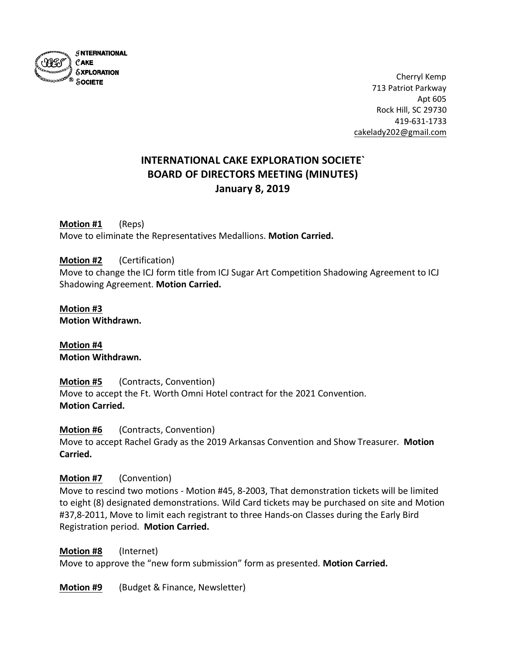

Cherryl Kemp 713 Patriot Parkway Apt 605 Rock Hill, SC 29730 419-631-1733 [cakelady202@gmail.com](mailto:cakelady202@gmail.com)

# **INTERNATIONAL CAKE EXPLORATION SOCIETE` BOARD OF DIRECTORS MEETING (MINUTES) January 8, 2019**

**Motion #1** (Reps) Move to eliminate the Representatives Medallions. **Motion Carried.**

## **Motion #2** (Certification)

Move to change the ICJ form title from ICJ Sugar Art Competition Shadowing Agreement to ICJ Shadowing Agreement. **Motion Carried.**

#### **Motion #3 Motion Withdrawn.**

**Motion #4 Motion Withdrawn.**

**Motion #5** (Contracts, Convention) Move to accept the Ft. Worth Omni Hotel contract for the 2021 Convention. **Motion Carried.**

**Motion #6** (Contracts, Convention) Move to accept Rachel Grady as the 2019 Arkansas Convention and Show Treasurer. **Motion Carried.**

## **Motion #7** (Convention)

Move to rescind two motions - Motion #45, 8-2003, That demonstration tickets will be limited to eight (8) designated demonstrations. Wild Card tickets may be purchased on site and Motion #37,8-2011, Move to limit each registrant to three Hands-on Classes during the Early Bird Registration period. **Motion Carried.**

## **Motion #8** (Internet)

Move to approve the "new form submission" form as presented. **Motion Carried.**

**Motion #9** (Budget & Finance, Newsletter)